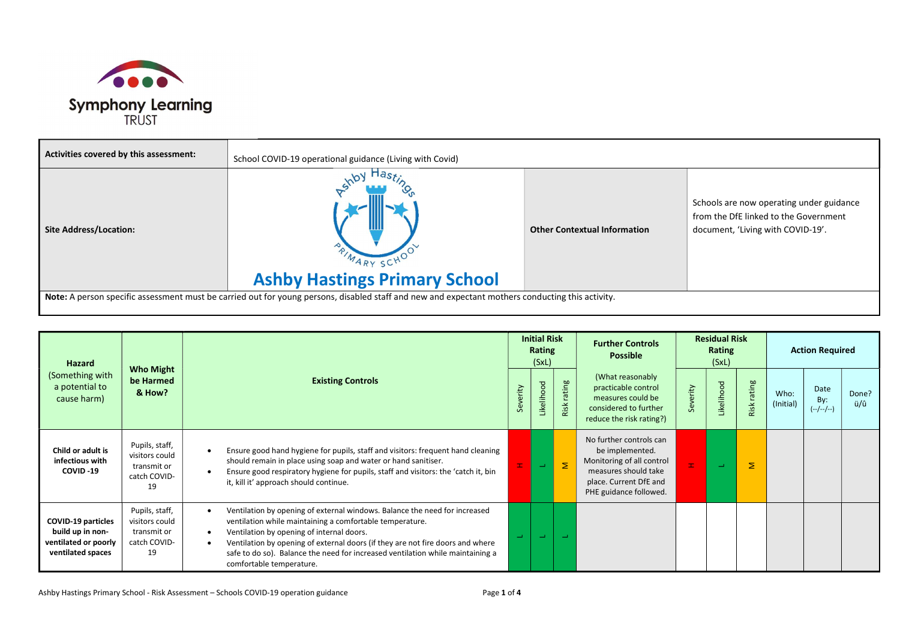

| Activities covered by this assessment: | School COVID-19 operational guidance (Living with Covid)                                                                                         |                                     |                                                                                                                        |
|----------------------------------------|--------------------------------------------------------------------------------------------------------------------------------------------------|-------------------------------------|------------------------------------------------------------------------------------------------------------------------|
| <b>Site Address/Location:</b>          | <b>Ashby Hastings Primary School</b>                                                                                                             | <b>Other Contextual Information</b> | Schools are now operating under guidance<br>from the DfE linked to the Government<br>document, 'Living with COVID-19'. |
|                                        | Note: A person specific assessment must be carried out for young persons, disabled staff and new and expectant mothers conducting this activity. |                                     |                                                                                                                        |

| Hazard                                                                                     |                                                                       |                                                                                                                                                                                                                                                                                                                                                                                     |          | <b>Initial Risk</b><br>Rating<br>(SxL) |                | <b>Further Controls</b><br><b>Possible</b>                                                                                                          |          | <b>Residual Risk</b><br>Rating<br>(SxL) |                  | <b>Action Required</b> |                            |              |
|--------------------------------------------------------------------------------------------|-----------------------------------------------------------------------|-------------------------------------------------------------------------------------------------------------------------------------------------------------------------------------------------------------------------------------------------------------------------------------------------------------------------------------------------------------------------------------|----------|----------------------------------------|----------------|-----------------------------------------------------------------------------------------------------------------------------------------------------|----------|-----------------------------------------|------------------|------------------------|----------------------------|--------------|
| (Something with<br>a potential to<br>cause harm)                                           | <b>Who Might</b><br>be Harmed<br>& How?                               | <b>Existing Controls</b>                                                                                                                                                                                                                                                                                                                                                            | Severity | Likelihood                             | rating<br>Risk | (What reasonably<br>practicable control<br>measures could be<br>considered to further<br>reduce the risk rating?)                                   | Severity | Likelihood                              | rating<br>Risk ( | Who:<br>(Initial)      | Date<br>By:<br>$(-/-/-/-)$ | Done?<br>ü/û |
| Child or adult is<br>infectious with<br>COVID-19                                           | Pupils, staff,<br>visitors could<br>transmit or<br>catch COVID-<br>19 | Ensure good hand hygiene for pupils, staff and visitors: frequent hand cleaning<br>should remain in place using soap and water or hand sanitiser.<br>Ensure good respiratory hygiene for pupils, staff and visitors: the 'catch it, bin<br>it, kill it' approach should continue.                                                                                                   |          | $\sim$                                 | Σ              | No further controls can<br>be implemented.<br>Monitoring of all control<br>measures should take<br>place. Current DfE and<br>PHE guidance followed. | $\pm$    | $\equiv$                                | Σ                |                        |                            |              |
| <b>COVID-19 particles</b><br>build up in non-<br>ventilated or poorly<br>ventilated spaces | Pupils, staff,<br>visitors could<br>transmit or<br>catch COVID-<br>19 | Ventilation by opening of external windows. Balance the need for increased<br>ventilation while maintaining a comfortable temperature.<br>Ventilation by opening of internal doors.<br>Ventilation by opening of external doors (if they are not fire doors and where<br>safe to do so). Balance the need for increased ventilation while maintaining a<br>comfortable temperature. |          | ا ب                                    | <b>College</b> |                                                                                                                                                     |          |                                         |                  |                        |                            |              |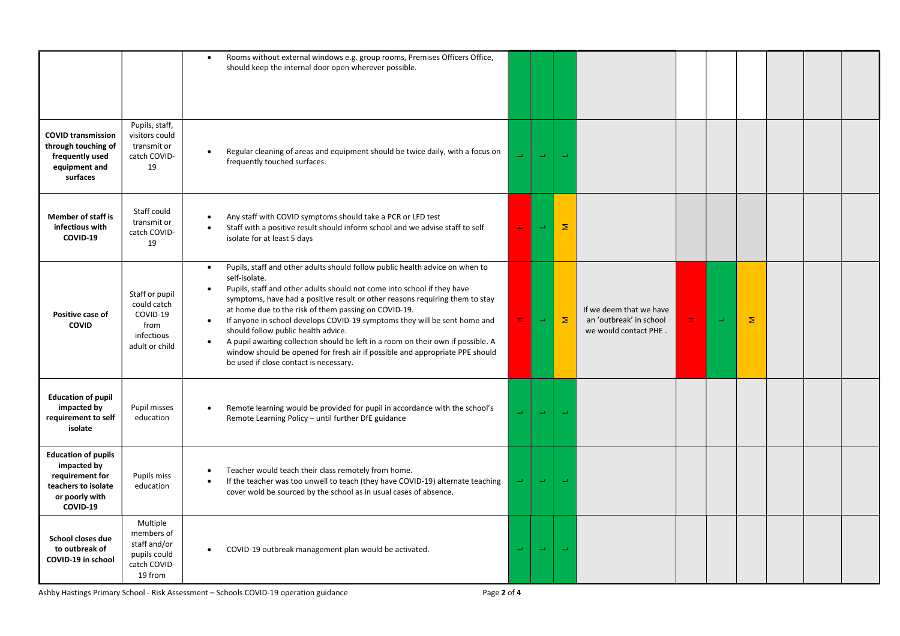|                                                                                                                   |                                                                                   | Rooms without external windows e.g. group rooms, Premises Officers Office,<br>should keep the internal door open wherever possible.                                                                                                                                                                                                                                                                                                                                                                                                                                                                                                                                                       |          |               |                   |                                                                             |    |                          |   |  |  |
|-------------------------------------------------------------------------------------------------------------------|-----------------------------------------------------------------------------------|-------------------------------------------------------------------------------------------------------------------------------------------------------------------------------------------------------------------------------------------------------------------------------------------------------------------------------------------------------------------------------------------------------------------------------------------------------------------------------------------------------------------------------------------------------------------------------------------------------------------------------------------------------------------------------------------|----------|---------------|-------------------|-----------------------------------------------------------------------------|----|--------------------------|---|--|--|
| <b>COVID transmission</b><br>through touching of<br>frequently used<br>equipment and<br>surfaces                  | Pupils, staff,<br>visitors could<br>transmit or<br>catch COVID-<br>19             | Regular cleaning of areas and equipment should be twice daily, with a focus on<br>$\bullet$<br>frequently touched surfaces.                                                                                                                                                                                                                                                                                                                                                                                                                                                                                                                                                               |          | $\rightarrow$ |                   |                                                                             |    |                          |   |  |  |
| <b>Member of staff is</b><br>infectious with<br>COVID-19                                                          | Staff could<br>transmit or<br>catch COVID-<br>19                                  | Any staff with COVID symptoms should take a PCR or LFD test<br>Staff with a positive result should inform school and we advise staff to self<br>isolate for at least 5 days                                                                                                                                                                                                                                                                                                                                                                                                                                                                                                               | $\pm$    | $\rightarrow$ | Σ                 |                                                                             |    |                          |   |  |  |
| Positive case of<br><b>COVID</b>                                                                                  | Staff or pupil<br>could catch<br>COVID-19<br>from<br>infectious<br>adult or child | Pupils, staff and other adults should follow public health advice on when to<br>$\bullet$<br>self-isolate.<br>Pupils, staff and other adults should not come into school if they have<br>symptoms, have had a positive result or other reasons requiring them to stay<br>at home due to the risk of them passing on COVID-19.<br>If anyone in school develops COVID-19 symptoms they will be sent home and<br>$\bullet$<br>should follow public health advice.<br>A pupil awaiting collection should be left in a room on their own if possible. A<br>$\bullet$<br>window should be opened for fresh air if possible and appropriate PPE should<br>be used if close contact is necessary. | Ŧ.       | Щ             | $\mathbf{\Sigma}$ | If we deem that we have<br>an 'outbreak' in school<br>we would contact PHE. | H, | $\overline{\phantom{a}}$ | Σ |  |  |
| <b>Education of pupil</b><br>impacted by<br>requirement to self<br>isolate                                        | Pupil misses<br>education                                                         | Remote learning would be provided for pupil in accordance with the school's<br>$\bullet$<br>Remote Learning Policy - until further DfE guidance                                                                                                                                                                                                                                                                                                                                                                                                                                                                                                                                           | u,       | ت             | $\rightarrow$     |                                                                             |    |                          |   |  |  |
| <b>Education of pupils</b><br>impacted by<br>requirement for<br>teachers to isolate<br>or poorly with<br>COVID-19 | Pupils miss<br>education                                                          | Teacher would teach their class remotely from home.<br>If the teacher was too unwell to teach (they have COVID-19) alternate teaching<br>cover wold be sourced by the school as in usual cases of absence.                                                                                                                                                                                                                                                                                                                                                                                                                                                                                |          | $\equiv$      | <b>College</b>    |                                                                             |    |                          |   |  |  |
| School closes due<br>to outbreak of<br>COVID-19 in school                                                         | Multiple<br>members of<br>staff and/or<br>pupils could<br>catch COVID-<br>19 from | COVID-19 outbreak management plan would be activated.<br>$\bullet$                                                                                                                                                                                                                                                                                                                                                                                                                                                                                                                                                                                                                        | $\equiv$ | $\equiv$      |                   |                                                                             |    |                          |   |  |  |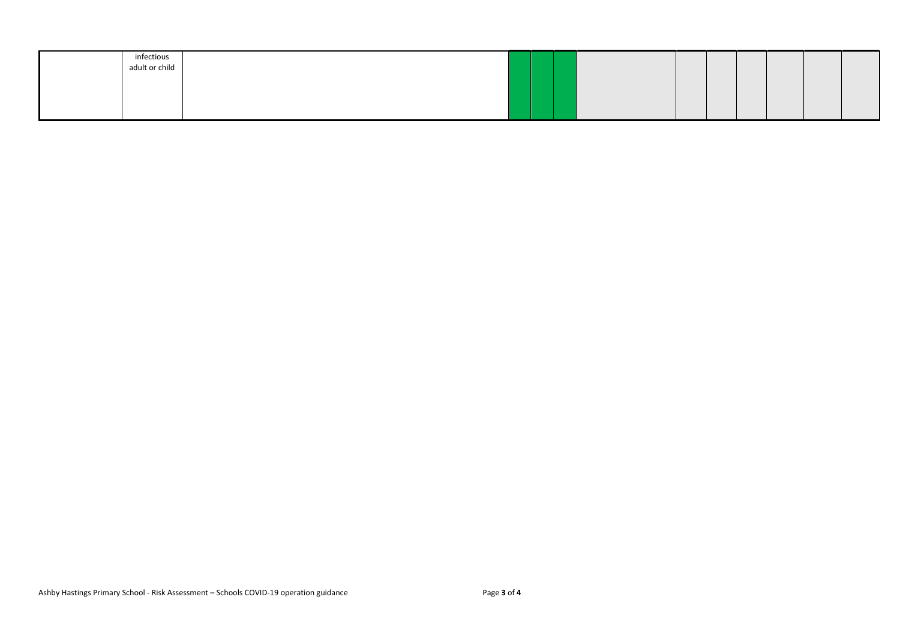| infectious     |  |  |  |  |  |
|----------------|--|--|--|--|--|
| adult or child |  |  |  |  |  |
|                |  |  |  |  |  |
|                |  |  |  |  |  |
|                |  |  |  |  |  |
|                |  |  |  |  |  |
|                |  |  |  |  |  |